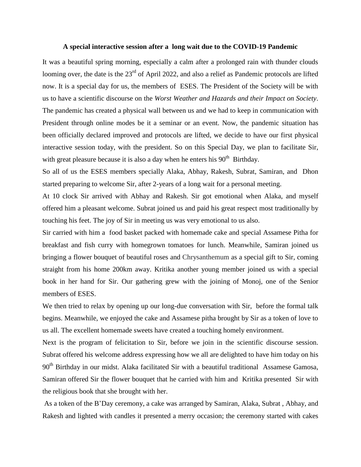## **A special interactive session after a long wait due to the COVID-19 Pandemic**

It was a beautiful spring morning, especially a calm after a prolonged rain with thunder clouds looming over, the date is the 23<sup>rd</sup> of April 2022, and also a relief as Pandemic protocols are lifted now. It is a special day for us, the members of ESES. The President of the Society will be with us to have a scientific discourse on the *Worst Weather and Hazards and their Impact on Society*. The pandemic has created a physical wall between us and we had to keep in communication with President through online modes be it a seminar or an event. Now, the pandemic situation has been officially declared improved and protocols are lifted, we decide to have our first physical interactive session today, with the president. So on this Special Day, we plan to facilitate Sir, with great pleasure because it is also a day when he enters his  $90<sup>th</sup>$  Birthday.

So all of us the ESES members specially Alaka, Abhay, Rakesh, Subrat, Samiran, and Dhon started preparing to welcome Sir, after 2-years of a long wait for a personal meeting.

At 10 clock Sir arrived with Abhay and Rakesh. Sir got emotional when Alaka, and myself offered him a pleasant welcome. Subrat joined us and paid his great respect most traditionally by touching his feet. The joy of Sir in meeting us was very emotional to us also.

Sir carried with him a food basket packed with homemade cake and special Assamese Pitha for breakfast and fish curry with homegrown tomatoes for lunch. Meanwhile, Samiran joined us bringing a flower bouquet of beautiful roses and Chrysanthemum as a special gift to Sir, coming straight from his home 200km away. Kritika another young member joined us with a special book in her hand for Sir. Our gathering grew with the joining of Monoj, one of the Senior members of ESES.

We then tried to relax by opening up our long-due conversation with Sir, before the formal talk begins. Meanwhile, we enjoyed the cake and Assamese pitha brought by Sir as a token of love to us all. The excellent homemade sweets have created a touching homely environment.

Next is the program of felicitation to Sir, before we join in the scientific discourse session. Subrat offered his welcome address expressing how we all are delighted to have him today on his 90<sup>th</sup> Birthday in our midst. Alaka facilitated Sir with a beautiful traditional Assamese Gamosa, Samiran offered Sir the flower bouquet that he carried with him and Kritika presented Sir with the religious book that she brought with her.

As a token of the B'Day ceremony, a cake was arranged by Samiran, Alaka, Subrat , Abhay, and Rakesh and lighted with candles it presented a merry occasion; the ceremony started with cakes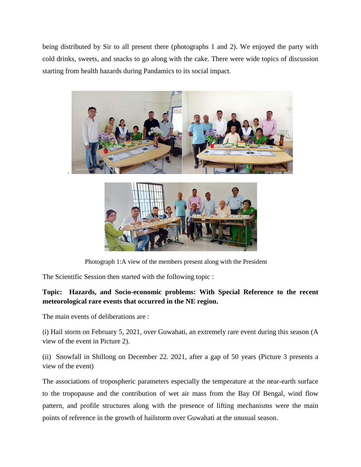being distributed by Sir to all present there (photographs 1 and 2). We enjoyed the party with cold drinks, sweets, and snacks to go along with the cake. There were wide topics of discussion starting from health hazards during Pandamics to its social impact.





Photograph 1:A view of the members present along with the President

The Scientific Session then started with the following topic :

## **Topic: Hazards, and Socio-economic problems: With Special Reference to the recent meteorological rare events that occurred in the NE region.**

The main events of deliberations are :

(i) Hail storm on February 5, 2021, over Guwahati, an extremely rare event during this season (A view of the event in Picture 2).

(ii) Snowfall in Shillong on December 22. 2021, after a gap of 50 years (Picture 3 presents a view of the event)

The associations of tropospheric parameters especially the temperature at the near-earth surface to the tropopause and the contribution of wet air mass from the Bay Of Bengal, wind flow pattern, and profile structures along with the presence of lifting mechanisms were the main points of reference in the growth of hailstorm over Guwahati at the unusual season.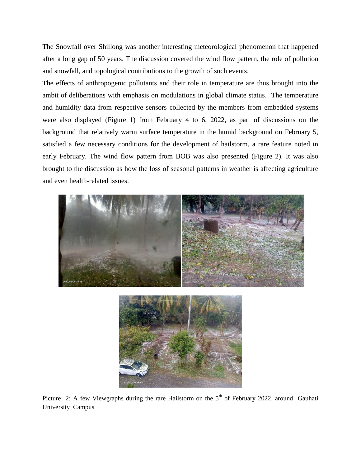The Snowfall over Shillong was another interesting meteorological phenomenon that happened after a long gap of 50 years. The discussion covered the wind flow pattern, the role of pollution and snowfall, and topological contributions to the growth of such events.

The effects of anthropogenic pollutants and their role in temperature are thus brought into the ambit of deliberations with emphasis on modulations in global climate status. The temperature and humidity data from respective sensors collected by the members from embedded systems were also displayed (Figure 1) from February 4 to 6, 2022, as part of discussions on the background that relatively warm surface temperature in the humid background on February 5, satisfied a few necessary conditions for the development of hailstorm, a rare feature noted in early February. The wind flow pattern from BOB was also presented (Figure 2). It was also brought to the discussion as how the loss of seasonal patterns in weather is affecting agriculture and even health-related issues.



Picture 2: A few Viewgraphs during the rare Hailstorm on the 5<sup>th</sup> of February 2022, around Gauhati University Campus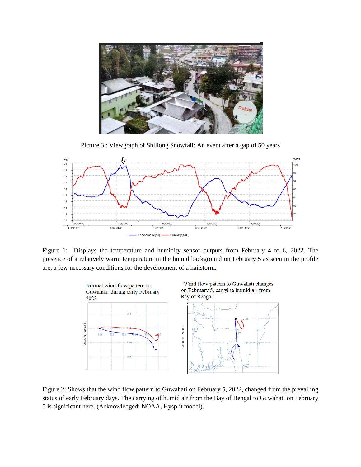

Picture 3 : Viewgraph of Shillong Snowfall: An event after a gap of 50 years



Figure 1: Displays the temperature and humidity sensor outputs from February 4 to 6, 2022. The presence of a relatively warm temperature in the humid background on February 5 as seen in the profile are, a few necessary conditions for the development of a hailstorm.



Figure 2: Shows that the wind flow pattern to Guwahati on February 5, 2022, changed from the prevailing status of early February days. The carrying of humid air from the Bay of Bengal to Guwahati on February 5 is significant here. (Acknowledged: NOAA, Hysplit model).